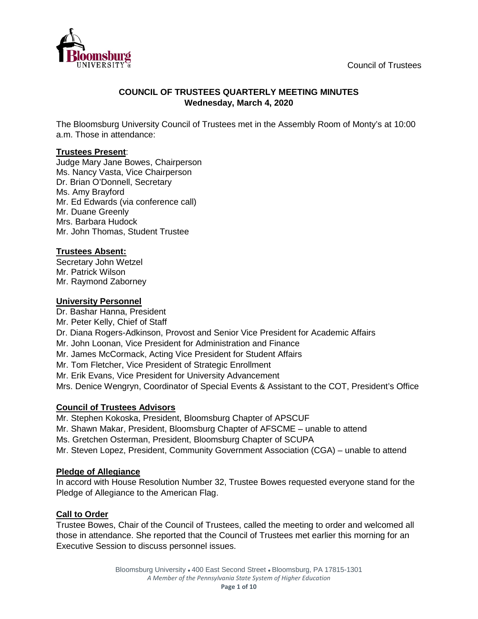

# **COUNCIL OF TRUSTEES QUARTERLY MEETING MINUTES Wednesday, March 4, 2020**

The Bloomsburg University Council of Trustees met in the Assembly Room of Monty's at 10:00 a.m. Those in attendance:

### **Trustees Present**:

Judge Mary Jane Bowes, Chairperson Ms. Nancy Vasta, Vice Chairperson Dr. Brian O'Donnell, Secretary Ms. Amy Brayford Mr. Ed Edwards (via conference call) Mr. Duane Greenly Mrs. Barbara Hudock Mr. John Thomas, Student Trustee

# **Trustees Absent:**

Secretary John Wetzel Mr. Patrick Wilson Mr. Raymond Zaborney

### **University Personnel**

Dr. Bashar Hanna, President Mr. Peter Kelly, Chief of Staff Dr. Diana Rogers-Adkinson, Provost and Senior Vice President for Academic Affairs Mr. John Loonan, Vice President for Administration and Finance Mr. James McCormack, Acting Vice President for Student Affairs Mr. Tom Fletcher, Vice President of Strategic Enrollment Mr. Erik Evans, Vice President for University Advancement Mrs. Denice Wengryn, Coordinator of Special Events & Assistant to the COT, President's Office

# **Council of Trustees Advisors**

Mr. Stephen Kokoska, President, Bloomsburg Chapter of APSCUF

Mr. Shawn Makar, President, Bloomsburg Chapter of AFSCME – unable to attend

Ms. Gretchen Osterman, President, Bloomsburg Chapter of SCUPA

Mr. Steven Lopez, President, Community Government Association (CGA) – unable to attend

# **Pledge of Allegiance**

In accord with House Resolution Number 32, Trustee Bowes requested everyone stand for the Pledge of Allegiance to the American Flag.

# **Call to Order**

Trustee Bowes, Chair of the Council of Trustees, called the meeting to order and welcomed all those in attendance. She reported that the Council of Trustees met earlier this morning for an Executive Session to discuss personnel issues.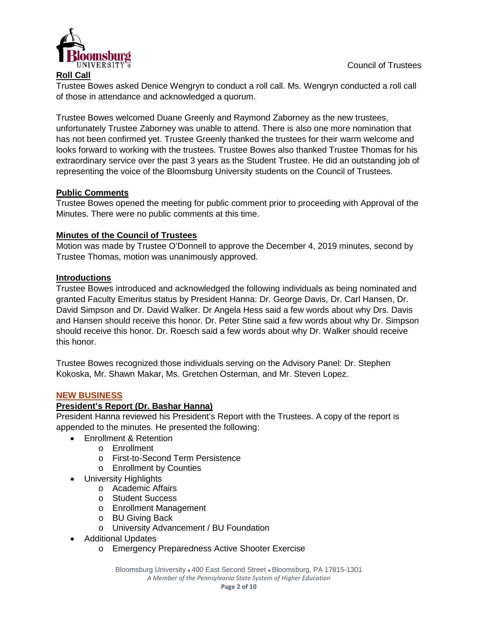

### **Roll Call**

Trustee Bowes asked Denice Wengryn to conduct a roll call. Ms. Wengryn conducted a roll call of those in attendance and acknowledged a quorum.

Trustee Bowes welcomed Duane Greenly and Raymond Zaborney as the new trustees, unfortunately Trustee Zaborney was unable to attend. There is also one more nomination that has not been confirmed yet. Trustee Greenly thanked the trustees for their warm welcome and looks forward to working with the trustees. Trustee Bowes also thanked Trustee Thomas for his extraordinary service over the past 3 years as the Student Trustee. He did an outstanding job of representing the voice of the Bloomsburg University students on the Council of Trustees.

### **Public Comments**

Trustee Bowes opened the meeting for public comment prior to proceeding with Approval of the Minutes. There were no public comments at this time.

### **Minutes of the Council of Trustees**

Motion was made by Trustee O'Donnell to approve the December 4, 2019 minutes, second by Trustee Thomas, motion was unanimously approved.

### **Introductions**

Trustee Bowes introduced and acknowledged the following individuals as being nominated and granted Faculty Emeritus status by President Hanna: Dr. George Davis, Dr. Carl Hansen, Dr. David Simpson and Dr. David Walker. Dr Angela Hess said a few words about why Drs. Davis and Hansen should receive this honor. Dr. Peter Stine said a few words about why Dr. Simpson should receive this honor. Dr. Roesch said a few words about why Dr. Walker should receive this honor.

Trustee Bowes recognized those individuals serving on the Advisory Panel: Dr. Stephen Kokoska, Mr. Shawn Makar, Ms. Gretchen Osterman, and Mr. Steven Lopez.

### **NEW BUSINESS**

### **President's Report (Dr. Bashar Hanna)**

President Hanna reviewed his President's Report with the Trustees. A copy of the report is appended to the minutes. He presented the following:

- Enrollment & Retention
	- o Enrollment
	- o First-to-Second Term Persistence
	- o Enrollment by Counties
- University Highlights
	- o Academic Affairs
	- o Student Success
	- o Enrollment Management
	- o BU Giving Back
	- o University Advancement / BU Foundation
- Additional Updates
	- o Emergency Preparedness Active Shooter Exercise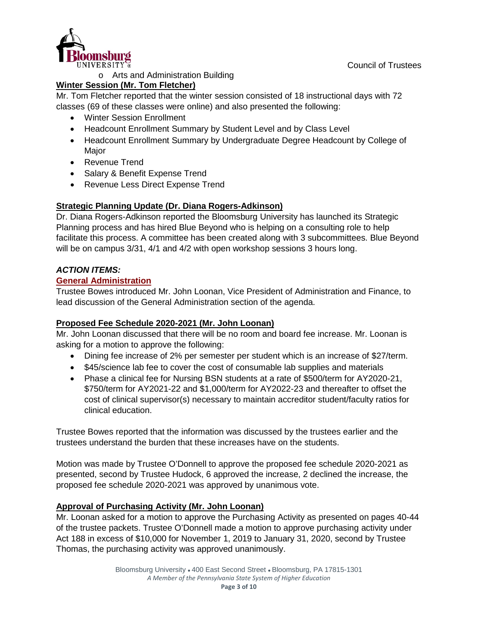

o Arts and Administration Building

# **Winter Session (Mr. Tom Fletcher)**

Mr. Tom Fletcher reported that the winter session consisted of 18 instructional days with 72 classes (69 of these classes were online) and also presented the following:

- Winter Session Enrollment
- Headcount Enrollment Summary by Student Level and by Class Level
- Headcount Enrollment Summary by Undergraduate Degree Headcount by College of Major
- Revenue Trend
- Salary & Benefit Expense Trend
- Revenue Less Direct Expense Trend

# **Strategic Planning Update (Dr. Diana Rogers-Adkinson)**

Dr. Diana Rogers-Adkinson reported the Bloomsburg University has launched its Strategic Planning process and has hired Blue Beyond who is helping on a consulting role to help facilitate this process. A committee has been created along with 3 subcommittees. Blue Beyond will be on campus 3/31, 4/1 and 4/2 with open workshop sessions 3 hours long.

# *ACTION ITEMS:*

# **General Administration**

Trustee Bowes introduced Mr. John Loonan, Vice President of Administration and Finance, to lead discussion of the General Administration section of the agenda.

# **Proposed Fee Schedule 2020-2021 (Mr. John Loonan)**

Mr. John Loonan discussed that there will be no room and board fee increase. Mr. Loonan is asking for a motion to approve the following:

- Dining fee increase of 2% per semester per student which is an increase of \$27/term.
- \$45/science lab fee to cover the cost of consumable lab supplies and materials
- Phase a clinical fee for Nursing BSN students at a rate of \$500/term for AY2020-21, \$750/term for AY2021-22 and \$1,000/term for AY2022-23 and thereafter to offset the cost of clinical supervisor(s) necessary to maintain accreditor student/faculty ratios for clinical education.

Trustee Bowes reported that the information was discussed by the trustees earlier and the trustees understand the burden that these increases have on the students.

Motion was made by Trustee O'Donnell to approve the proposed fee schedule 2020-2021 as presented, second by Trustee Hudock, 6 approved the increase, 2 declined the increase, the proposed fee schedule 2020-2021 was approved by unanimous vote.

# **Approval of Purchasing Activity (Mr. John Loonan)**

Mr. Loonan asked for a motion to approve the Purchasing Activity as presented on pages 40-44 of the trustee packets. Trustee O'Donnell made a motion to approve purchasing activity under Act 188 in excess of \$10,000 for November 1, 2019 to January 31, 2020, second by Trustee Thomas, the purchasing activity was approved unanimously.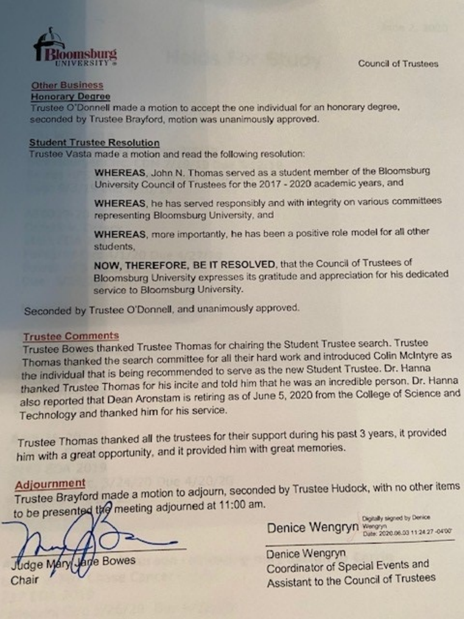

# **Other Business**

### **Honorary Degree**

Trustee O'Donnell made a motion to accept the one individual for an honorary degree, seconded by Trustee Brayford, motion was unanimously approved.

#### **Student Trustee Resolution**

Trustee Vasta made a motion and read the following resolution:

WHEREAS, John N. Thomas served as a student member of the Bloomsburg University Council of Trustees for the 2017 - 2020 academic years, and

WHEREAS, he has served responsibly and with integrity on various committees representing Bloomsburg University, and

WHEREAS, more importantly, he has been a positive role model for all other students.

NOW, THEREFORE, BE IT RESOLVED, that the Council of Trustees of Bloomsburg University expresses its gratitude and appreciation for his dedicated service to Bloomsburg University.

Seconded by Trustee O'Donnell, and unanimously approved.

#### **Trustee Comments**

Trustee Bowes thanked Trustee Thomas for chairing the Student Trustee search. Trustee Thomas thanked the search committee for all their hard work and introduced Colin McIntyre as the individual that is being recommended to serve as the new Student Trustee. Dr. Hanna thanked Trustee Thomas for his incite and told him that he was an incredible person. Dr. Hanna also reported that Dean Aronstam is retiring as of June 5, 2020 from the College of Science and Technology and thanked him for his service.

Trustee Thomas thanked all the trustees for their support during his past 3 years, it provided him with a great opportunity, and it provided him with great memories.

# Adjournment

Trustee Brayford made a motion to adjourn, seconded by Trustee Hudock, with no other items to be presented the meeting adjourned at 11:00 am.

e Bowes

Digitally signed by Denice Denice Wengryn Wengyn

Denice Wengryn Coordinator of Special Events and Assistant to the Council of Trustees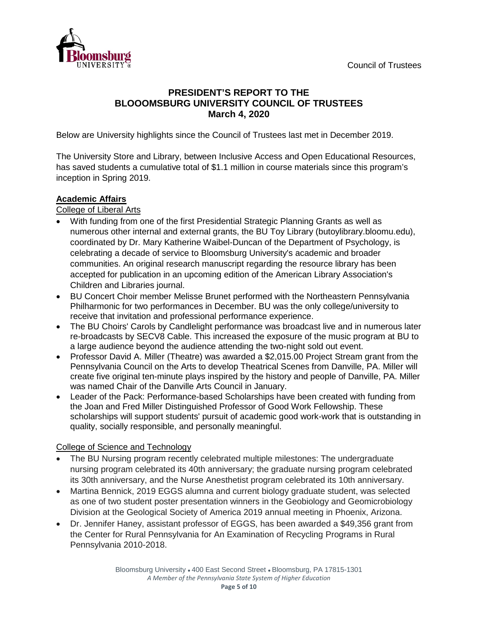

# **PRESIDENT'S REPORT TO THE BLOOOMSBURG UNIVERSITY COUNCIL OF TRUSTEES March 4, 2020**

Below are University highlights since the Council of Trustees last met in December 2019.

The University Store and Library, between Inclusive Access and Open Educational Resources, has saved students a cumulative total of \$1.1 million in course materials since this program's inception in Spring 2019.

### **Academic Affairs**

College of Liberal Arts

- With funding from one of the first Presidential Strategic Planning Grants as well as numerous other internal and external grants, the BU Toy Library (butoylibrary.bloomu.edu), coordinated by Dr. Mary Katherine Waibel-Duncan of the Department of Psychology, is celebrating a decade of service to Bloomsburg University's academic and broader communities. An original research manuscript regarding the resource library has been accepted for publication in an upcoming edition of the American Library Association's Children and Libraries journal.
- BU Concert Choir member Melisse Brunet performed with the Northeastern Pennsylvania Philharmonic for two performances in December. BU was the only college/university to receive that invitation and professional performance experience.
- The BU Choirs' Carols by Candlelight performance was broadcast live and in numerous later re-broadcasts by SECV8 Cable. This increased the exposure of the music program at BU to a large audience beyond the audience attending the two-night sold out event.
- Professor David A. Miller (Theatre) was awarded a \$2,015.00 Project Stream grant from the Pennsylvania Council on the Arts to develop Theatrical Scenes from Danville, PA. Miller will create five original ten-minute plays inspired by the history and people of Danville, PA. Miller was named Chair of the Danville Arts Council in January.
- Leader of the Pack: Performance-based Scholarships have been created with funding from the Joan and Fred Miller Distinguished Professor of Good Work Fellowship. These scholarships will support students' pursuit of academic good work-work that is outstanding in quality, socially responsible, and personally meaningful.

# College of Science and Technology

- The BU Nursing program recently celebrated multiple milestones: The undergraduate nursing program celebrated its 40th anniversary; the graduate nursing program celebrated its 30th anniversary, and the Nurse Anesthetist program celebrated its 10th anniversary.
- Martina Bennick, 2019 EGGS alumna and current biology graduate student, was selected as one of two student poster presentation winners in the Geobiology and Geomicrobiology Division at the Geological Society of America 2019 annual meeting in Phoenix, Arizona.
- Dr. Jennifer Haney, assistant professor of EGGS, has been awarded a \$49,356 grant from the Center for Rural Pennsylvania for An Examination of Recycling Programs in Rural Pennsylvania 2010-2018.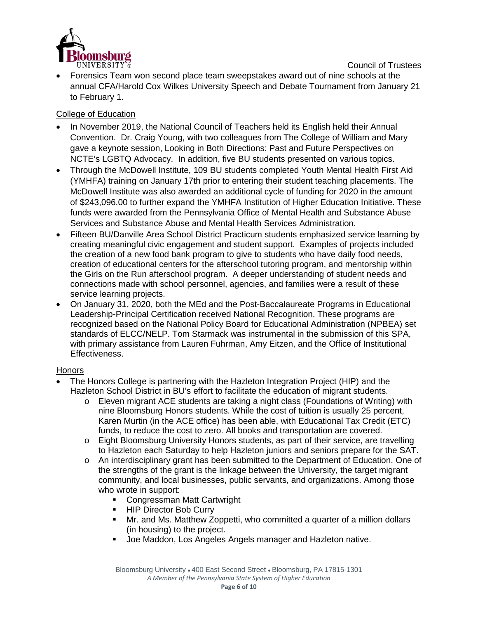

Council of Trustees • Forensics Team won second place team sweepstakes award out of nine schools at the annual CFA/Harold Cox Wilkes University Speech and Debate Tournament from January 21 to February 1.

### College of Education

- In November 2019, the National Council of Teachers held its English held their Annual Convention. Dr. Craig Young, with two colleagues from The College of William and Mary gave a keynote session, Looking in Both Directions: Past and Future Perspectives on NCTE's LGBTQ Advocacy. In addition, five BU students presented on various topics.
- Through the McDowell Institute, 109 BU students completed Youth Mental Health First Aid (YMHFA) training on January 17th prior to entering their student teaching placements. The McDowell Institute was also awarded an additional cycle of funding for 2020 in the amount of \$243,096.00 to further expand the YMHFA Institution of Higher Education Initiative. These funds were awarded from the Pennsylvania Office of Mental Health and Substance Abuse Services and Substance Abuse and Mental Health Services Administration.
- Fifteen BU/Danville Area School District Practicum students emphasized service learning by creating meaningful civic engagement and student support. Examples of projects included the creation of a new food bank program to give to students who have daily food needs, creation of educational centers for the afterschool tutoring program, and mentorship within the Girls on the Run afterschool program. A deeper understanding of student needs and connections made with school personnel, agencies, and families were a result of these service learning projects.
- On January 31, 2020, both the MEd and the Post-Baccalaureate Programs in Educational Leadership-Principal Certification received National Recognition. These programs are recognized based on the National Policy Board for Educational Administration (NPBEA) set standards of ELCC/NELP. Tom Starmack was instrumental in the submission of this SPA, with primary assistance from Lauren Fuhrman, Amy Eitzen, and the Office of Institutional Effectiveness.

### **Honors**

- The Honors College is partnering with the Hazleton Integration Project (HIP) and the Hazleton School District in BU's effort to facilitate the education of migrant students.
	- o Eleven migrant ACE students are taking a night class (Foundations of Writing) with nine Bloomsburg Honors students. While the cost of tuition is usually 25 percent, Karen Murtin (in the ACE office) has been able, with Educational Tax Credit (ETC) funds, to reduce the cost to zero. All books and transportation are covered.
	- o Eight Bloomsburg University Honors students, as part of their service, are travelling to Hazleton each Saturday to help Hazleton juniors and seniors prepare for the SAT.
	- o An interdisciplinary grant has been submitted to the Department of Education. One of the strengths of the grant is the linkage between the University, the target migrant community, and local businesses, public servants, and organizations. Among those who wrote in support:
		- **Congressman Matt Cartwright**
		- **HIP Director Bob Curry**
		- Mr. and Ms. Matthew Zoppetti, who committed a quarter of a million dollars (in housing) to the project.
		- Joe Maddon, Los Angeles Angels manager and Hazleton native.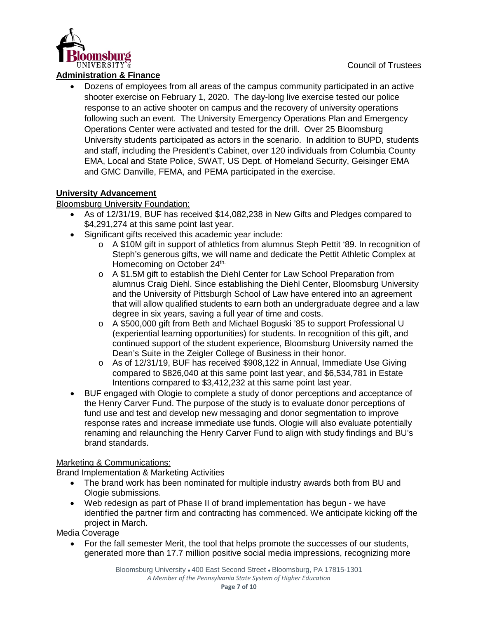

### **Administration & Finance**

• Dozens of employees from all areas of the campus community participated in an active shooter exercise on February 1, 2020. The day-long live exercise tested our police response to an active shooter on campus and the recovery of university operations following such an event. The University Emergency Operations Plan and Emergency Operations Center were activated and tested for the drill. Over 25 Bloomsburg University students participated as actors in the scenario. In addition to BUPD, students and staff, including the President's Cabinet, over 120 individuals from Columbia County EMA, Local and State Police, SWAT, US Dept. of Homeland Security, Geisinger EMA and GMC Danville, FEMA, and PEMA participated in the exercise.

# **University Advancement**

### Bloomsburg University Foundation:

- As of 12/31/19, BUF has received \$14,082,238 in New Gifts and Pledges compared to \$4,291,274 at this same point last year.
- Significant gifts received this academic year include:
	- o A \$10M gift in support of athletics from alumnus Steph Pettit '89. In recognition of Steph's generous gifts, we will name and dedicate the Pettit Athletic Complex at Homecoming on October 24<sup>th.</sup>
	- o A \$1.5M gift to establish the Diehl Center for Law School Preparation from alumnus Craig Diehl. Since establishing the Diehl Center, Bloomsburg University and the University of Pittsburgh School of Law have entered into an agreement that will allow qualified students to earn both an undergraduate degree and a law degree in six years, saving a full year of time and costs.
	- o A \$500,000 gift from Beth and Michael Boguski '85 to support Professional U (experiential learning opportunities) for students. In recognition of this gift, and continued support of the student experience, Bloomsburg University named the Dean's Suite in the Zeigler College of Business in their honor.
	- o As of 12/31/19, BUF has received \$908,122 in Annual, Immediate Use Giving compared to \$826,040 at this same point last year, and \$6,534,781 in Estate Intentions compared to \$3,412,232 at this same point last year.
- BUF engaged with Ologie to complete a study of donor perceptions and acceptance of the Henry Carver Fund. The purpose of the study is to evaluate donor perceptions of fund use and test and develop new messaging and donor segmentation to improve response rates and increase immediate use funds. Ologie will also evaluate potentially renaming and relaunching the Henry Carver Fund to align with study findings and BU's brand standards.

# Marketing & Communications:

Brand Implementation & Marketing Activities

- The brand work has been nominated for multiple industry awards both from BU and Ologie submissions.
- Web redesign as part of Phase II of brand implementation has begun we have identified the partner firm and contracting has commenced. We anticipate kicking off the project in March.

Media Coverage

• For the fall semester Merit, the tool that helps promote the successes of our students, generated more than 17.7 million positive social media impressions, recognizing more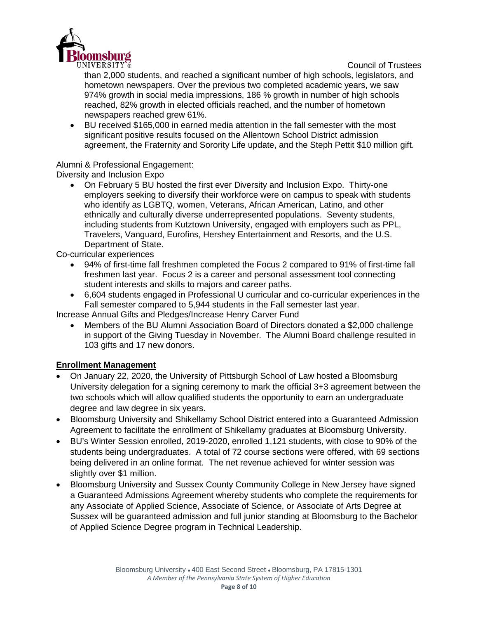

than 2,000 students, and reached a significant number of high schools, legislators, and hometown newspapers. Over the previous two completed academic years, we saw 974% growth in social media impressions, 186 % growth in number of high schools reached, 82% growth in elected officials reached, and the number of hometown newspapers reached grew 61%.

• BU received \$165,000 in earned media attention in the fall semester with the most significant positive results focused on the Allentown School District admission agreement, the Fraternity and Sorority Life update, and the Steph Pettit \$10 million gift.

### Alumni & Professional Engagement:

Diversity and Inclusion Expo

• On February 5 BU hosted the first ever Diversity and Inclusion Expo. Thirty-one employers seeking to diversify their workforce were on campus to speak with students who identify as LGBTQ, women, Veterans, African American, Latino, and other ethnically and culturally diverse underrepresented populations. Seventy students, including students from Kutztown University, engaged with employers such as PPL, Travelers, Vanguard, Eurofins, Hershey Entertainment and Resorts, and the U.S. Department of State.

Co-curricular experiences

- 94% of first-time fall freshmen completed the Focus 2 compared to 91% of first-time fall freshmen last year. Focus 2 is a career and personal assessment tool connecting student interests and skills to majors and career paths.
- 6,604 students engaged in Professional U curricular and co-curricular experiences in the Fall semester compared to 5,944 students in the Fall semester last year.

Increase Annual Gifts and Pledges/Increase Henry Carver Fund

• Members of the BU Alumni Association Board of Directors donated a \$2,000 challenge in support of the Giving Tuesday in November. The Alumni Board challenge resulted in 103 gifts and 17 new donors.

# **Enrollment Management**

- On January 22, 2020, the University of Pittsburgh School of Law hosted a Bloomsburg University delegation for a signing ceremony to mark the official 3+3 agreement between the two schools which will allow qualified students the opportunity to earn an undergraduate degree and law degree in six years.
- Bloomsburg University and Shikellamy School District entered into a Guaranteed Admission Agreement to facilitate the enrollment of Shikellamy graduates at Bloomsburg University.
- BU's Winter Session enrolled, 2019-2020, enrolled 1,121 students, with close to 90% of the students being undergraduates. A total of 72 course sections were offered, with 69 sections being delivered in an online format. The net revenue achieved for winter session was slightly over \$1 million.
- Bloomsburg University and Sussex County Community College in New Jersey have signed a Guaranteed Admissions Agreement whereby students who complete the requirements for any Associate of Applied Science, Associate of Science, or Associate of Arts Degree at Sussex will be guaranteed admission and full junior standing at Bloomsburg to the Bachelor of Applied Science Degree program in Technical Leadership.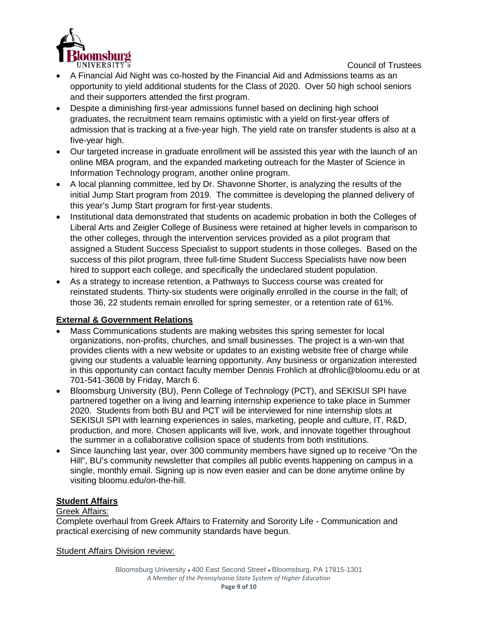

- A Financial Aid Night was co-hosted by the Financial Aid and Admissions teams as an opportunity to yield additional students for the Class of 2020. Over 50 high school seniors and their supporters attended the first program.
- Despite a diminishing first-year admissions funnel based on declining high school graduates, the recruitment team remains optimistic with a yield on first-year offers of admission that is tracking at a five-year high. The yield rate on transfer students is also at a five-year high.
- Our targeted increase in graduate enrollment will be assisted this year with the launch of an online MBA program, and the expanded marketing outreach for the Master of Science in Information Technology program, another online program.
- A local planning committee, led by Dr. Shavonne Shorter, is analyzing the results of the initial Jump Start program from 2019. The committee is developing the planned delivery of this year's Jump Start program for first-year students.
- Institutional data demonstrated that students on academic probation in both the Colleges of Liberal Arts and Zeigler College of Business were retained at higher levels in comparison to the other colleges, through the intervention services provided as a pilot program that assigned a Student Success Specialist to support students in those colleges. Based on the success of this pilot program, three full-time Student Success Specialists have now been hired to support each college, and specifically the undeclared student population.
- As a strategy to increase retention, a Pathways to Success course was created for reinstated students. Thirty-six students were originally enrolled in the course in the fall; of those 36, 22 students remain enrolled for spring semester, or a retention rate of 61%.

# **External & Government Relations**

- Mass Communications students are making websites this spring semester for local organizations, non-profits, churches, and small businesses. The project is a win-win that provides clients with a new website or updates to an existing website free of charge while giving our students a valuable learning opportunity. Any business or organization interested in this opportunity can contact faculty member Dennis Frohlich at dfrohlic@bloomu.edu or at 701-541-3608 by Friday, March 6.
- Bloomsburg University (BU), Penn College of Technology (PCT), and SEKISUI SPI have partnered together on a living and learning internship experience to take place in Summer 2020. Students from both BU and PCT will be interviewed for nine internship slots at SEKISUI SPI with learning experiences in sales, marketing, people and culture, IT, R&D, production, and more. Chosen applicants will live, work, and innovate together throughout the summer in a collaborative collision space of students from both institutions.
- Since launching last year, over 300 community members have signed up to receive "On the Hill", BU's community newsletter that compiles all public events happening on campus in a single, monthly email. Signing up is now even easier and can be done anytime online by visiting bloomu.edu/on-the-hill.

# **Student Affairs**

### Greek Affairs:

Complete overhaul from Greek Affairs to Fraternity and Sorority Life - Communication and practical exercising of new community standards have begun.

### Student Affairs Division review: